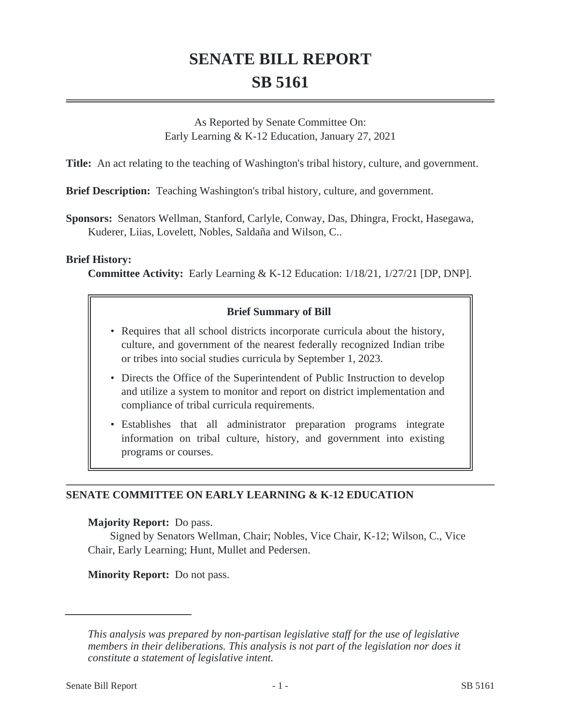# **SENATE BILL REPORT SB 5161**

As Reported by Senate Committee On: Early Learning & K-12 Education, January 27, 2021

**Title:** An act relating to the teaching of Washington's tribal history, culture, and government.

**Brief Description:** Teaching Washington's tribal history, culture, and government.

**Sponsors:** Senators Wellman, Stanford, Carlyle, Conway, Das, Dhingra, Frockt, Hasegawa, Kuderer, Liias, Lovelett, Nobles, Saldaña and Wilson, C..

#### **Brief History:**

**Committee Activity:** Early Learning & K-12 Education: 1/18/21, 1/27/21 [DP, DNP].

## **Brief Summary of Bill**

- Requires that all school districts incorporate curricula about the history, culture, and government of the nearest federally recognized Indian tribe or tribes into social studies curricula by September 1, 2023.
- Directs the Office of the Superintendent of Public Instruction to develop and utilize a system to monitor and report on district implementation and compliance of tribal curricula requirements.
- Establishes that all administrator preparation programs integrate information on tribal culture, history, and government into existing programs or courses.

### **SENATE COMMITTEE ON EARLY LEARNING & K-12 EDUCATION**

### **Majority Report:** Do pass.

Signed by Senators Wellman, Chair; Nobles, Vice Chair, K-12; Wilson, C., Vice Chair, Early Learning; Hunt, Mullet and Pedersen.

**Minority Report:** Do not pass.

*This analysis was prepared by non-partisan legislative staff for the use of legislative members in their deliberations. This analysis is not part of the legislation nor does it constitute a statement of legislative intent.*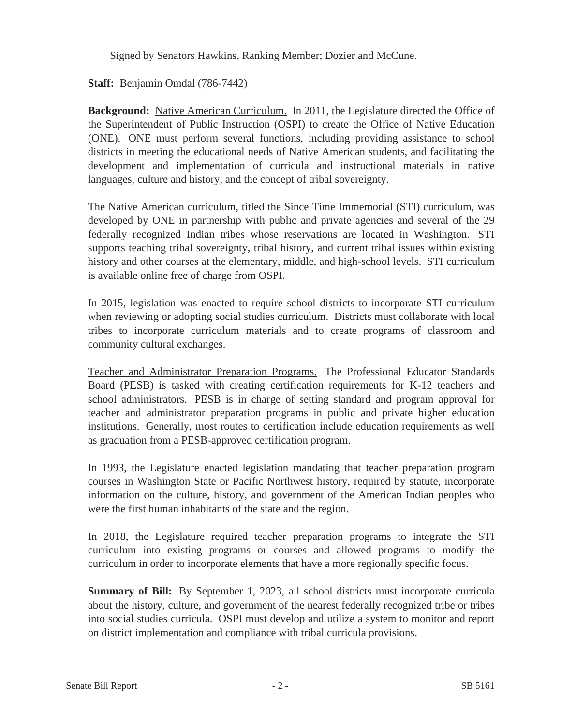Signed by Senators Hawkins, Ranking Member; Dozier and McCune.

**Staff:** Benjamin Omdal (786-7442)

**Background:** Native American Curriculum. In 2011, the Legislature directed the Office of the Superintendent of Public Instruction (OSPI) to create the Office of Native Education (ONE). ONE must perform several functions, including providing assistance to school districts in meeting the educational needs of Native American students, and facilitating the development and implementation of curricula and instructional materials in native languages, culture and history, and the concept of tribal sovereignty.

The Native American curriculum, titled the Since Time Immemorial (STI) curriculum, was developed by ONE in partnership with public and private agencies and several of the 29 federally recognized Indian tribes whose reservations are located in Washington. STI supports teaching tribal sovereignty, tribal history, and current tribal issues within existing history and other courses at the elementary, middle, and high-school levels. STI curriculum is available online free of charge from OSPI.

In 2015, legislation was enacted to require school districts to incorporate STI curriculum when reviewing or adopting social studies curriculum. Districts must collaborate with local tribes to incorporate curriculum materials and to create programs of classroom and community cultural exchanges.

Teacher and Administrator Preparation Programs. The Professional Educator Standards Board (PESB) is tasked with creating certification requirements for K-12 teachers and school administrators. PESB is in charge of setting standard and program approval for teacher and administrator preparation programs in public and private higher education institutions. Generally, most routes to certification include education requirements as well as graduation from a PESB-approved certification program.

In 1993, the Legislature enacted legislation mandating that teacher preparation program courses in Washington State or Pacific Northwest history, required by statute, incorporate information on the culture, history, and government of the American Indian peoples who were the first human inhabitants of the state and the region.

In 2018, the Legislature required teacher preparation programs to integrate the STI curriculum into existing programs or courses and allowed programs to modify the curriculum in order to incorporate elements that have a more regionally specific focus.

**Summary of Bill:** By September 1, 2023, all school districts must incorporate curricula about the history, culture, and government of the nearest federally recognized tribe or tribes into social studies curricula. OSPI must develop and utilize a system to monitor and report on district implementation and compliance with tribal curricula provisions.